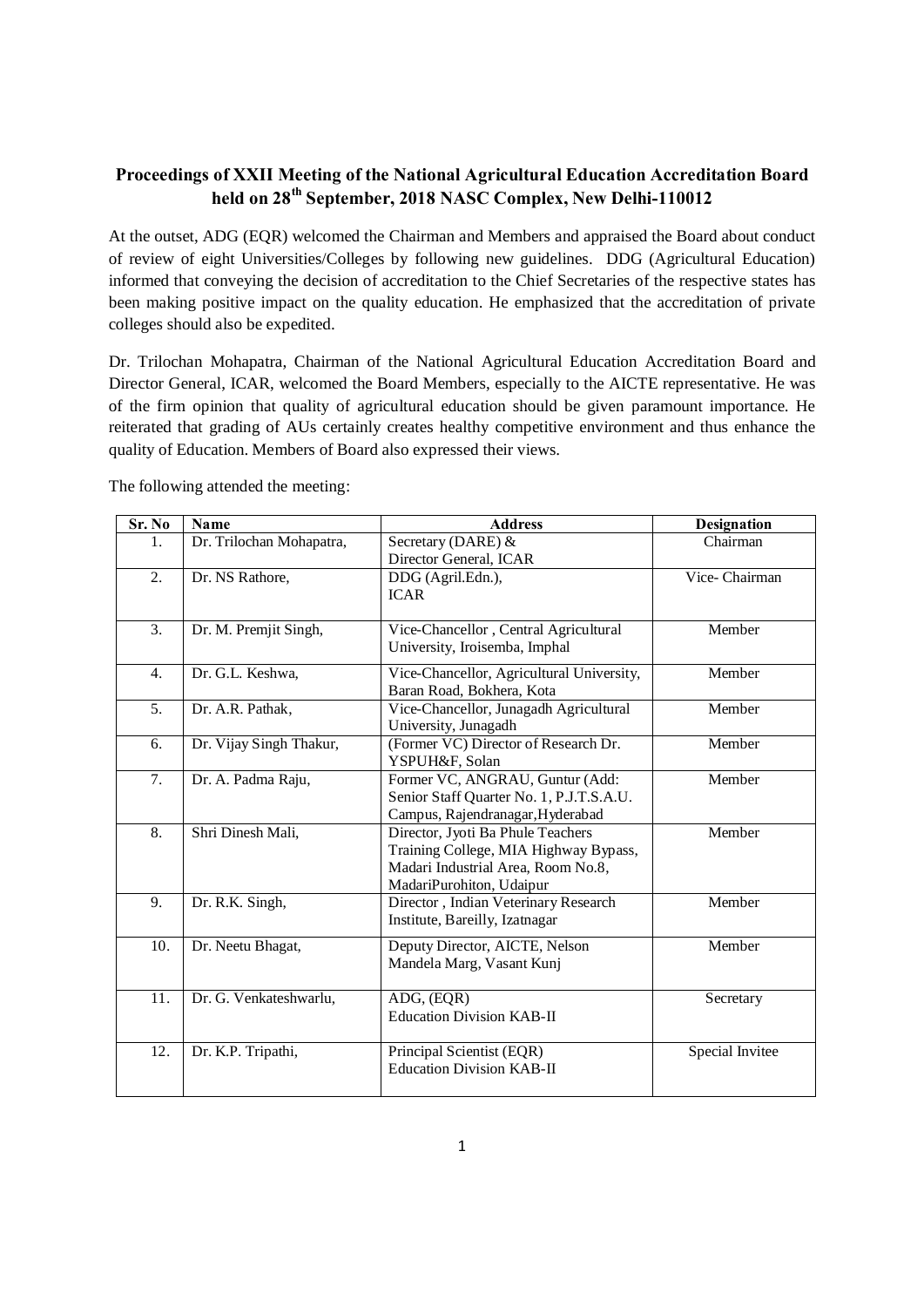## **Proceedings of XXII Meeting of the National Agricultural Education Accreditation Board held on 28th September, 2018 NASC Complex, New Delhi-110012**

At the outset, ADG (EQR) welcomed the Chairman and Members and appraised the Board about conduct of review of eight Universities/Colleges by following new guidelines. DDG (Agricultural Education) informed that conveying the decision of accreditation to the Chief Secretaries of the respective states has been making positive impact on the quality education. He emphasized that the accreditation of private colleges should also be expedited.

Dr. Trilochan Mohapatra, Chairman of the National Agricultural Education Accreditation Board and Director General, ICAR, welcomed the Board Members, especially to the AICTE representative. He was of the firm opinion that quality of agricultural education should be given paramount importance. He reiterated that grading of AUs certainly creates healthy competitive environment and thus enhance the quality of Education. Members of Board also expressed their views.

| Sr. No           | <b>Name</b>              | <b>Address</b>                                                                                                                               | <b>Designation</b> |
|------------------|--------------------------|----------------------------------------------------------------------------------------------------------------------------------------------|--------------------|
| 1.               | Dr. Trilochan Mohapatra, | Secretary (DARE) &<br>Director General, ICAR                                                                                                 | Chairman           |
| 2.               | Dr. NS Rathore,          | DDG (Agril.Edn.),<br><b>ICAR</b>                                                                                                             | Vice-Chairman      |
| $\overline{3}$ . | Dr. M. Premjit Singh,    | Vice-Chancellor, Central Agricultural<br>University, Iroisemba, Imphal                                                                       | Member             |
| $\overline{4}$ . | Dr. G.L. Keshwa,         | Vice-Chancellor, Agricultural University,<br>Baran Road, Bokhera, Kota                                                                       | Member             |
| 5.               | Dr. A.R. Pathak,         | Vice-Chancellor, Junagadh Agricultural<br>University, Junagadh                                                                               | Member             |
| 6.               | Dr. Vijay Singh Thakur,  | (Former VC) Director of Research Dr.<br>YSPUH&F, Solan                                                                                       | Member             |
| 7.               | Dr. A. Padma Raju,       | Former VC, ANGRAU, Guntur (Add:<br>Senior Staff Quarter No. 1, P.J.T.S.A.U.<br>Campus, Rajendranagar, Hyderabad                              | Member             |
| 8.               | Shri Dinesh Mali,        | Director, Jyoti Ba Phule Teachers<br>Training College, MIA Highway Bypass,<br>Madari Industrial Area, Room No.8,<br>MadariPurohiton, Udaipur | Member             |
| 9.               | Dr. R.K. Singh,          | Director, Indian Veterinary Research<br>Institute, Bareilly, Izatnagar                                                                       | Member             |
| 10.              | Dr. Neetu Bhagat,        | Deputy Director, AICTE, Nelson<br>Mandela Marg, Vasant Kunj                                                                                  | Member             |
| 11.              | Dr. G. Venkateshwarlu,   | ADG, (EQR)<br><b>Education Division KAB-II</b>                                                                                               | Secretary          |
| 12.              | Dr. K.P. Tripathi,       | Principal Scientist (EQR)<br><b>Education Division KAB-II</b>                                                                                | Special Invitee    |

The following attended the meeting: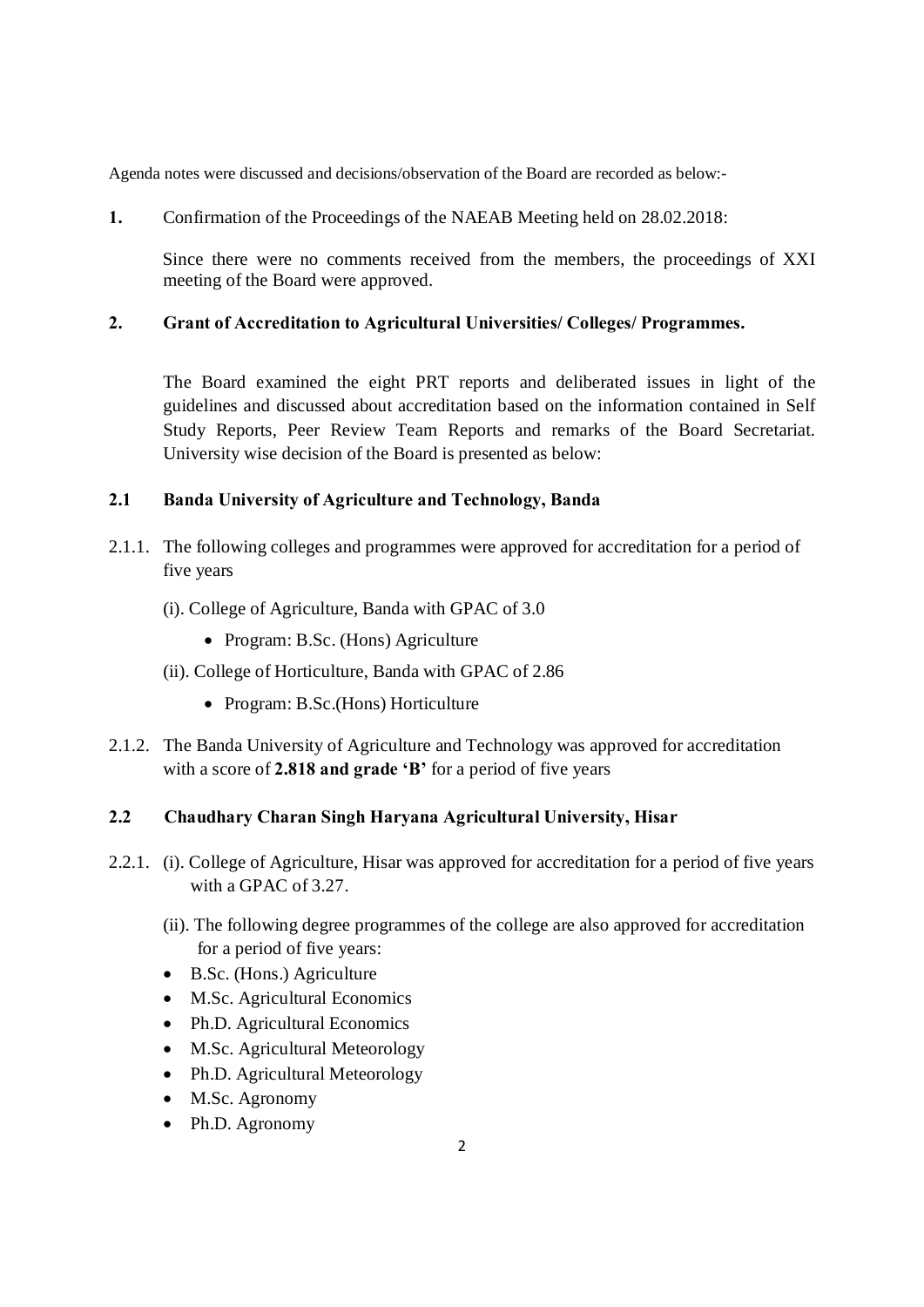Agenda notes were discussed and decisions/observation of the Board are recorded as below:-

**1.** Confirmation of the Proceedings of the NAEAB Meeting held on 28.02.2018:

 Since there were no comments received from the members, the proceedings of XXI meeting of the Board were approved.

#### **2. Grant of Accreditation to Agricultural Universities/ Colleges/ Programmes.**

The Board examined the eight PRT reports and deliberated issues in light of the guidelines and discussed about accreditation based on the information contained in Self Study Reports, Peer Review Team Reports and remarks of the Board Secretariat. University wise decision of the Board is presented as below:

## **2.1 Banda University of Agriculture and Technology, Banda**

- 2.1.1. The following colleges and programmes were approved for accreditation for a period of five years
	- (i). College of Agriculture, Banda with GPAC of 3.0
		- Program: B.Sc. (Hons) Agriculture
	- (ii). College of Horticulture, Banda with GPAC of 2.86
		- Program: B.Sc.(Hons) Horticulture
- 2.1.2. The Banda University of Agriculture and Technology was approved for accreditation with a score of **2.818 and grade 'B'** for a period of five years

#### **2.2 Chaudhary Charan Singh Haryana Agricultural University, Hisar**

- 2.2.1. (i). College of Agriculture, Hisar was approved for accreditation for a period of five years with a GPAC of 3.27.
	- (ii). The following degree programmes of the college are also approved for accreditation for a period of five years:
	- · B.Sc. (Hons.) Agriculture
	- M.Sc. Agricultural Economics
	- Ph.D. Agricultural Economics
	- M.Sc. Agricultural Meteorology
	- Ph.D. Agricultural Meteorology
	- M.Sc. Agronomy
	- Ph.D. Agronomy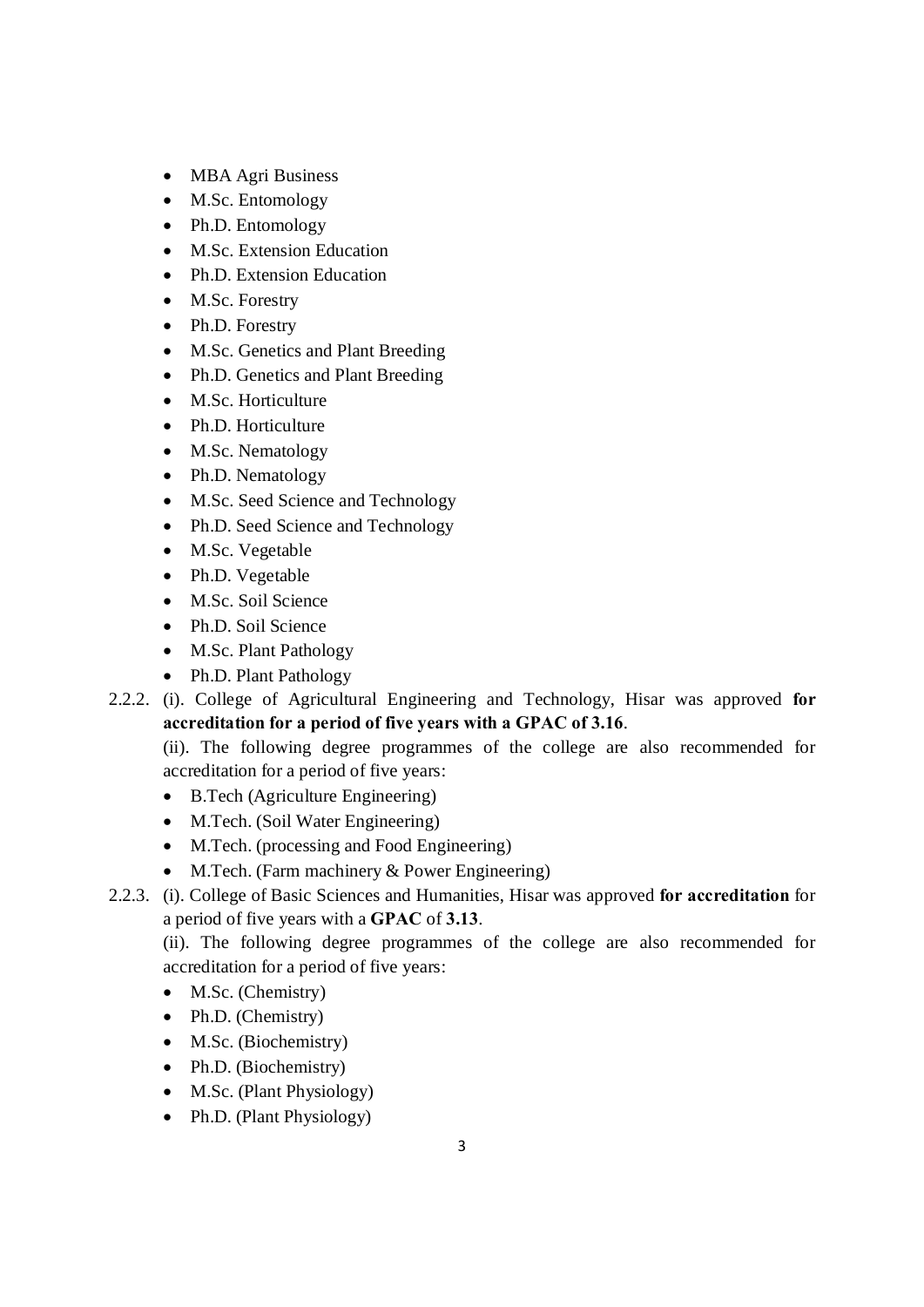- MBA Agri Business
- M.Sc. Entomology
- Ph.D. Entomology
- M.Sc. Extension Education
- Ph.D. Extension Education
- M.Sc. Forestry
- Ph.D. Forestry
- M.Sc. Genetics and Plant Breeding
- · Ph.D. Genetics and Plant Breeding
- M.Sc. Horticulture
- Ph.D. Horticulture
- M.Sc. Nematology
- Ph.D. Nematology
- M.Sc. Seed Science and Technology
- Ph.D. Seed Science and Technology
- M.Sc. Vegetable
- Ph.D. Vegetable
- · M.Sc. Soil Science
- Ph.D. Soil Science
- M.Sc. Plant Pathology
- Ph.D. Plant Pathology
- 2.2.2. (i). College of Agricultural Engineering and Technology, Hisar was approved **for accreditation for a period of five years with a GPAC of 3.16**.

(ii). The following degree programmes of the college are also recommended for accreditation for a period of five years:

- · B.Tech (Agriculture Engineering)
- · M.Tech. (Soil Water Engineering)
- M.Tech. (processing and Food Engineering)
- M.Tech. (Farm machinery & Power Engineering)
- 2.2.3. (i). College of Basic Sciences and Humanities, Hisar was approved **for accreditation** for a period of five years with a **GPAC** of **3.13**.

(ii). The following degree programmes of the college are also recommended for accreditation for a period of five years:

- M.Sc. (Chemistry)
- Ph.D. (Chemistry)
- M.Sc. (Biochemistry)
- Ph.D. (Biochemistry)
- M.Sc. (Plant Physiology)
- Ph.D. (Plant Physiology)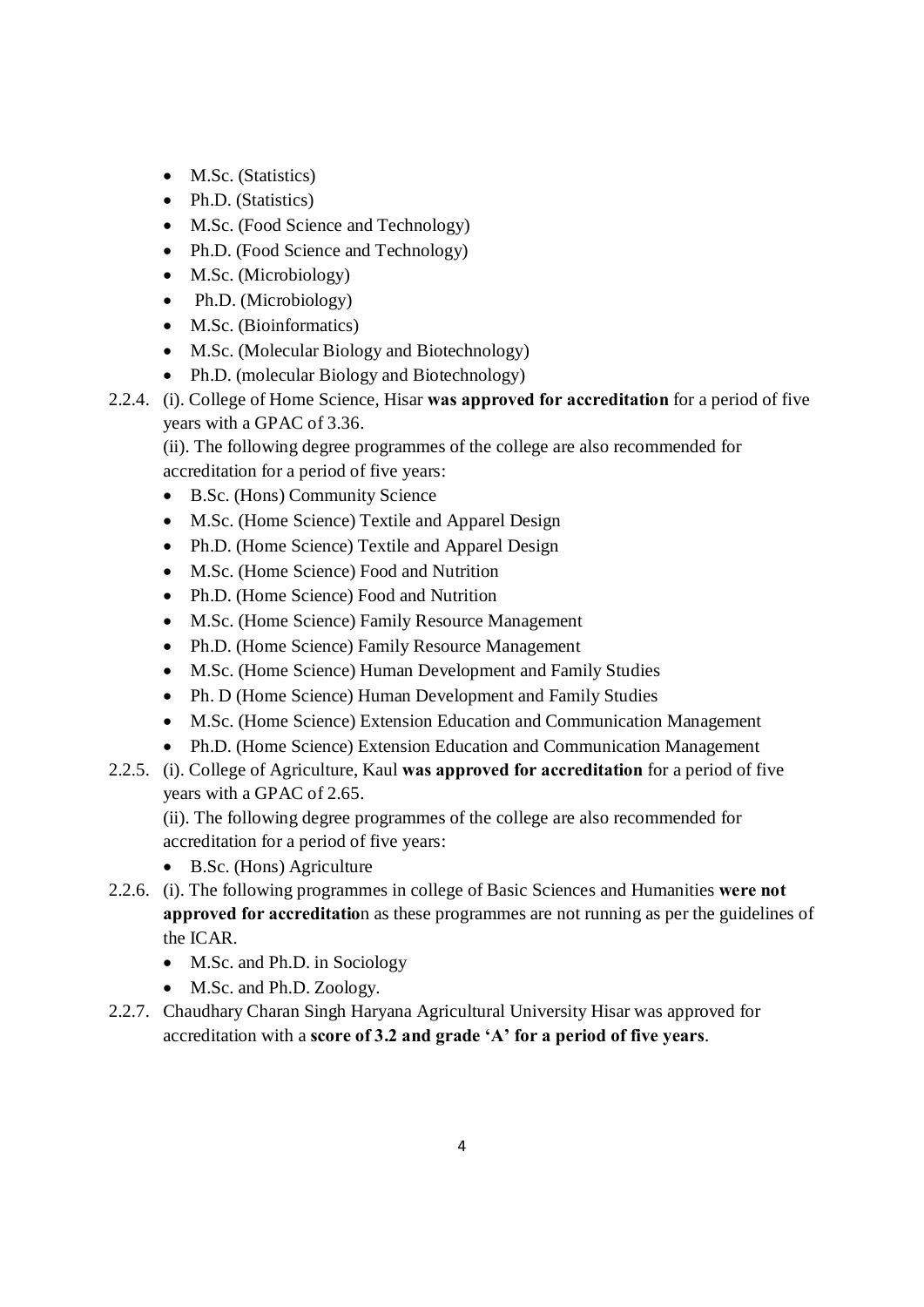- M.Sc. (Statistics)
- Ph.D. (Statistics)
- · M.Sc. (Food Science and Technology)
- Ph.D. (Food Science and Technology)
- M.Sc. (Microbiology)
- Ph.D. (Microbiology)
- M.Sc. (Bioinformatics)
- · M.Sc. (Molecular Biology and Biotechnology)
- Ph.D. (molecular Biology and Biotechnology)
- 2.2.4. (i). College of Home Science, Hisar **was approved for accreditation** for a period of five years with a GPAC of 3.36.

(ii). The following degree programmes of the college are also recommended for accreditation for a period of five years:

- · B.Sc. (Hons) Community Science
- M.Sc. (Home Science) Textile and Apparel Design
- Ph.D. (Home Science) Textile and Apparel Design
- M.Sc. (Home Science) Food and Nutrition
- Ph.D. (Home Science) Food and Nutrition
- · M.Sc. (Home Science) Family Resource Management
- Ph.D. (Home Science) Family Resource Management
- · M.Sc. (Home Science) Human Development and Family Studies
- · Ph. D (Home Science) Human Development and Family Studies
- · M.Sc. (Home Science) Extension Education and Communication Management
- · Ph.D. (Home Science) Extension Education and Communication Management
- 2.2.5. (i). College of Agriculture, Kaul **was approved for accreditation** for a period of five years with a GPAC of 2.65.

(ii). The following degree programmes of the college are also recommended for accreditation for a period of five years:

- · B.Sc. (Hons) Agriculture
- 2.2.6. (i). The following programmes in college of Basic Sciences and Humanities **were not approved for accreditatio**n as these programmes are not running as per the guidelines of the ICAR.
	- M.Sc. and Ph.D. in Sociology
	- M.Sc. and Ph.D. Zoology.
- 2.2.7. Chaudhary Charan Singh Haryana Agricultural University Hisar was approved for accreditation with a **score of 3.2 and grade 'A' for a period of five years**.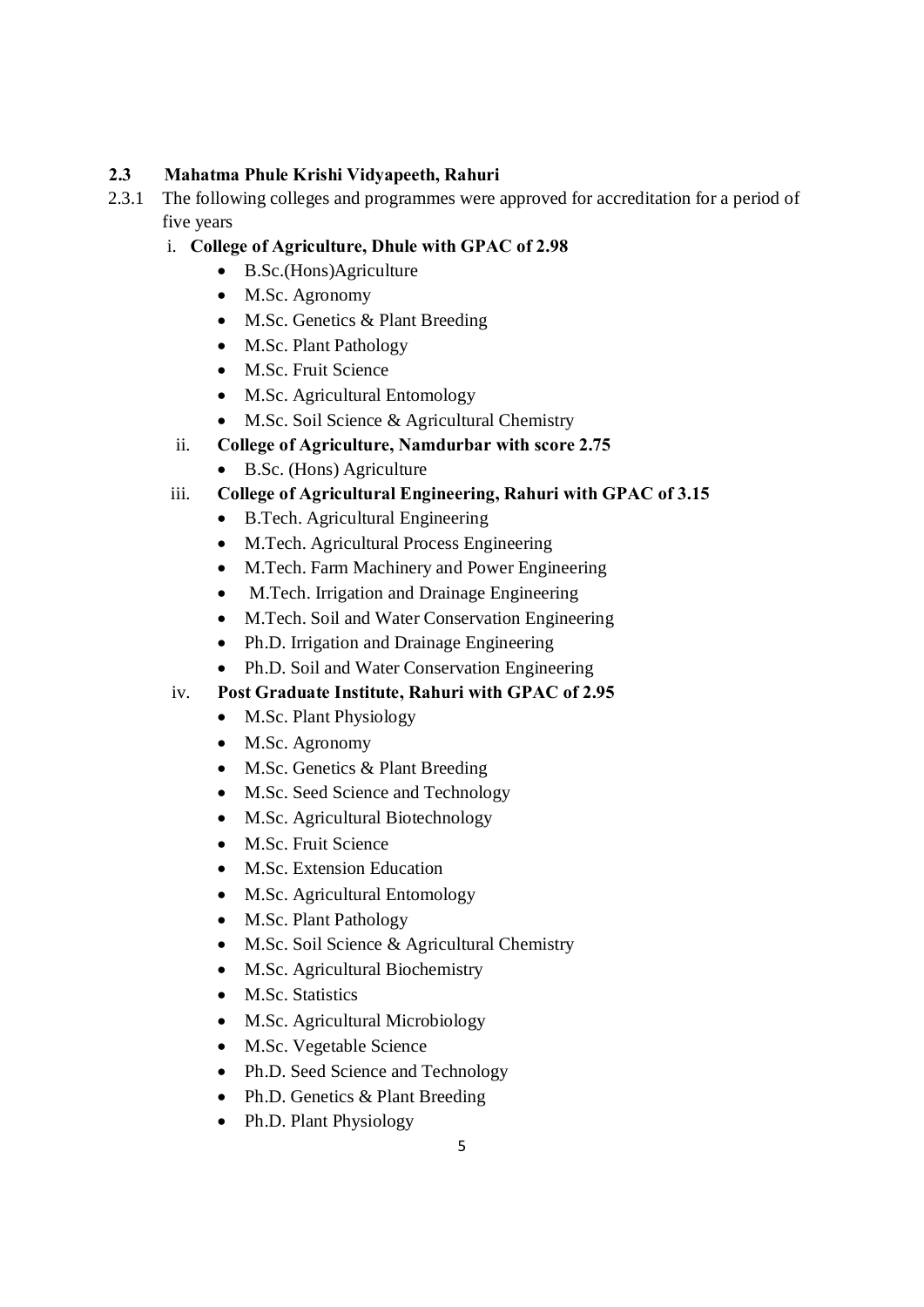## **2.3 Mahatma Phule Krishi Vidyapeeth, Rahuri**

2.3.1 The following colleges and programmes were approved for accreditation for a period of five years

## i. **College of Agriculture, Dhule with GPAC of 2.98**

- · B.Sc.(Hons)Agriculture
- M.Sc. Agronomy
- M.Sc. Genetics & Plant Breeding
- M.Sc. Plant Pathology
- · M.Sc. Fruit Science
- M.Sc. Agricultural Entomology
- · M.Sc. Soil Science & Agricultural Chemistry
- ii. **College of Agriculture, Namdurbar with score 2.75**
	- · B.Sc. (Hons) Agriculture

# iii. **College of Agricultural Engineering, Rahuri with GPAC of 3.15**

- · B.Tech. Agricultural Engineering
- · M.Tech. Agricultural Process Engineering
- · M.Tech. Farm Machinery and Power Engineering
- · M.Tech. Irrigation and Drainage Engineering
- · M.Tech. Soil and Water Conservation Engineering
- Ph.D. Irrigation and Drainage Engineering
- Ph.D. Soil and Water Conservation Engineering

## iv. **Post Graduate Institute, Rahuri with GPAC of 2.95**

- M.Sc. Plant Physiology
- M.Sc. Agronomy
- M.Sc. Genetics & Plant Breeding
- M.Sc. Seed Science and Technology
- M.Sc. Agricultural Biotechnology
- · M.Sc. Fruit Science
- · M.Sc. Extension Education
- M.Sc. Agricultural Entomology
- M.Sc. Plant Pathology
- M.Sc. Soil Science & Agricultural Chemistry
- · M.Sc. Agricultural Biochemistry
- M.Sc. Statistics
- M.Sc. Agricultural Microbiology
- M.Sc. Vegetable Science
- Ph.D. Seed Science and Technology
- Ph.D. Genetics & Plant Breeding
- Ph.D. Plant Physiology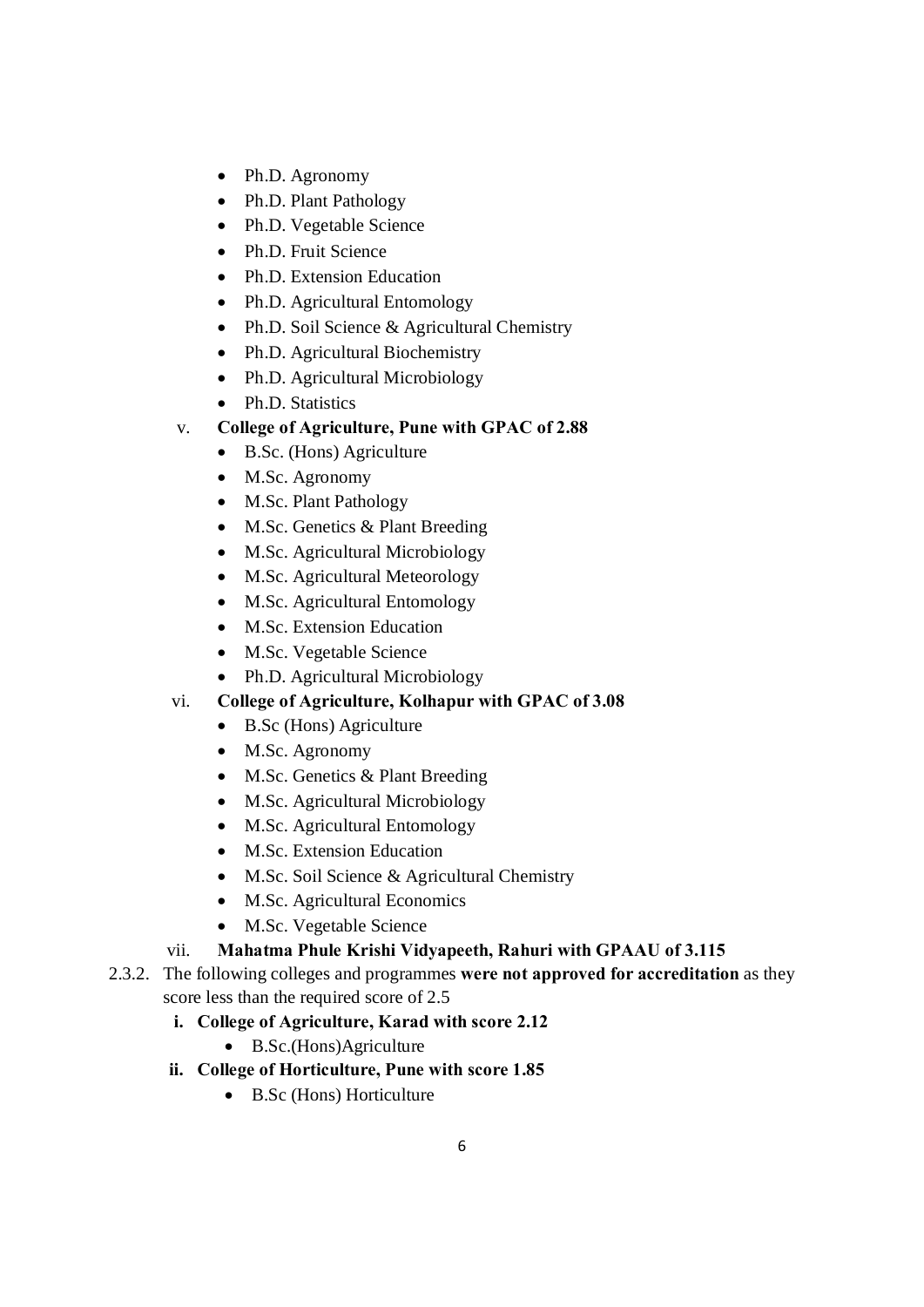- Ph.D. Agronomy
- Ph.D. Plant Pathology
- Ph.D. Vegetable Science
- Ph.D. Fruit Science
- Ph.D. Extension Education
- Ph.D. Agricultural Entomology
- Ph.D. Soil Science & Agricultural Chemistry
- Ph.D. Agricultural Biochemistry
- Ph.D. Agricultural Microbiology
- Ph.D. Statistics
- v. **College of Agriculture, Pune with GPAC of 2.88**
	- · B.Sc. (Hons) Agriculture
	- M.Sc. Agronomy
	- · M.Sc. Plant Pathology
	- M.Sc. Genetics & Plant Breeding
	- M.Sc. Agricultural Microbiology
	- M.Sc. Agricultural Meteorology
	- · M.Sc. Agricultural Entomology
	- M.Sc. Extension Education
	- · M.Sc. Vegetable Science
	- Ph.D. Agricultural Microbiology

# vi. **College of Agriculture, Kolhapur with GPAC of 3.08**

- · B.Sc (Hons) Agriculture
- M.Sc. Agronomy
- M.Sc. Genetics & Plant Breeding
- M.Sc. Agricultural Microbiology
- M.Sc. Agricultural Entomology
- M.Sc. Extension Education
- · M.Sc. Soil Science & Agricultural Chemistry
- M.Sc. Agricultural Economics
- · M.Sc. Vegetable Science

## vii. **Mahatma Phule Krishi Vidyapeeth, Rahuri with GPAAU of 3.115**

- 2.3.2. The following colleges and programmes **were not approved for accreditation** as they score less than the required score of 2.5
	- **i. College of Agriculture, Karad with score 2.12**
		- · B.Sc.(Hons)Agriculture
	- **ii. College of Horticulture, Pune with score 1.85**
		- · B.Sc (Hons) Horticulture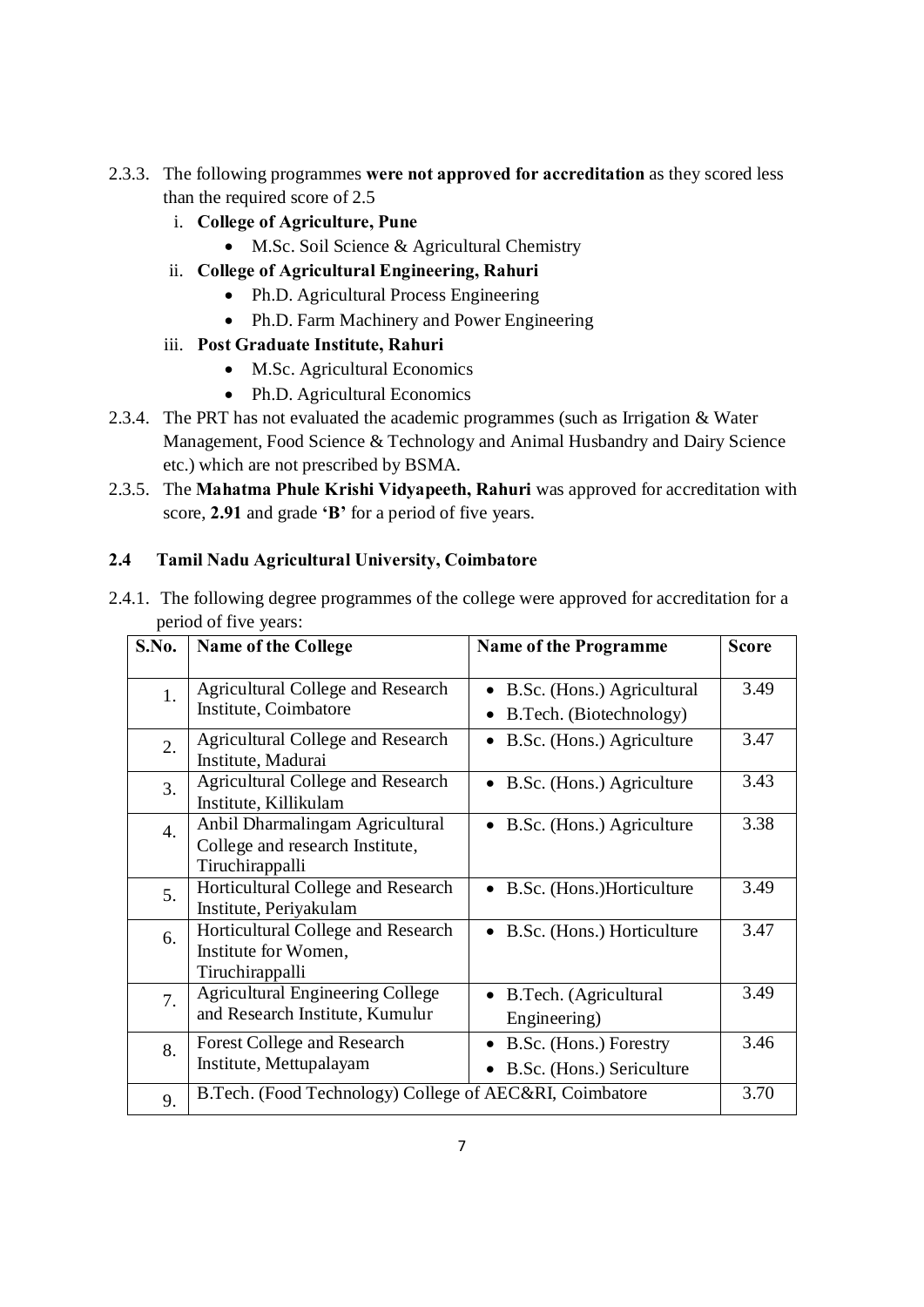- 2.3.3. The following programmes **were not approved for accreditation** as they scored less than the required score of 2.5
	- i. **College of Agriculture, Pune**
		- · M.Sc. Soil Science & Agricultural Chemistry
	- ii. **College of Agricultural Engineering, Rahuri**
		- Ph.D. Agricultural Process Engineering
		- Ph.D. Farm Machinery and Power Engineering
	- iii. **Post Graduate Institute, Rahuri**
		- M.Sc. Agricultural Economics
		- Ph.D. Agricultural Economics
- 2.3.4. The PRT has not evaluated the academic programmes (such as Irrigation & Water Management, Food Science & Technology and Animal Husbandry and Dairy Science etc.) which are not prescribed by BSMA.
- 2.3.5. The **Mahatma Phule Krishi Vidyapeeth, Rahuri** was approved for accreditation with score, **2.91** and grade **'B'** for a period of five years.

### **2.4 Tamil Nadu Agricultural University, Coimbatore**

| S.No. | <b>Name of the College</b>                                                            | <b>Name of the Programme</b>                          | <b>Score</b> |
|-------|---------------------------------------------------------------------------------------|-------------------------------------------------------|--------------|
| 1.    | Agricultural College and Research<br>Institute, Coimbatore                            | B.Sc. (Hons.) Agricultural<br>B.Tech. (Biotechnology) | 3.49         |
| 2.    | <b>Agricultural College and Research</b><br>Institute, Madurai                        | B.Sc. (Hons.) Agriculture                             | 3.47         |
| 3.    | <b>Agricultural College and Research</b><br>Institute, Killikulam                     | B.Sc. (Hons.) Agriculture                             | 3.43         |
| 4.    | Anbil Dharmalingam Agricultural<br>College and research Institute,<br>Tiruchirappalli | B.Sc. (Hons.) Agriculture                             | 3.38         |
| 5.    | Horticultural College and Research<br>Institute, Periyakulam                          | B.Sc. (Hons.)Horticulture                             | 3.49         |
| 6.    | Horticultural College and Research<br>Institute for Women,<br>Tiruchirappalli         | B.Sc. (Hons.) Horticulture                            | 3.47         |
| 7.    | <b>Agricultural Engineering College</b><br>and Research Institute, Kumulur            | B.Tech. (Agricultural<br>Engineering)                 | 3.49         |
| 8.    | <b>Forest College and Research</b><br>Institute, Mettupalayam                         | B.Sc. (Hons.) Forestry<br>B.Sc. (Hons.) Sericulture   | 3.46         |
| 9.    | B.Tech. (Food Technology) College of AEC&RI, Coimbatore                               |                                                       | 3.70         |

2.4.1. The following degree programmes of the college were approved for accreditation for a period of five years: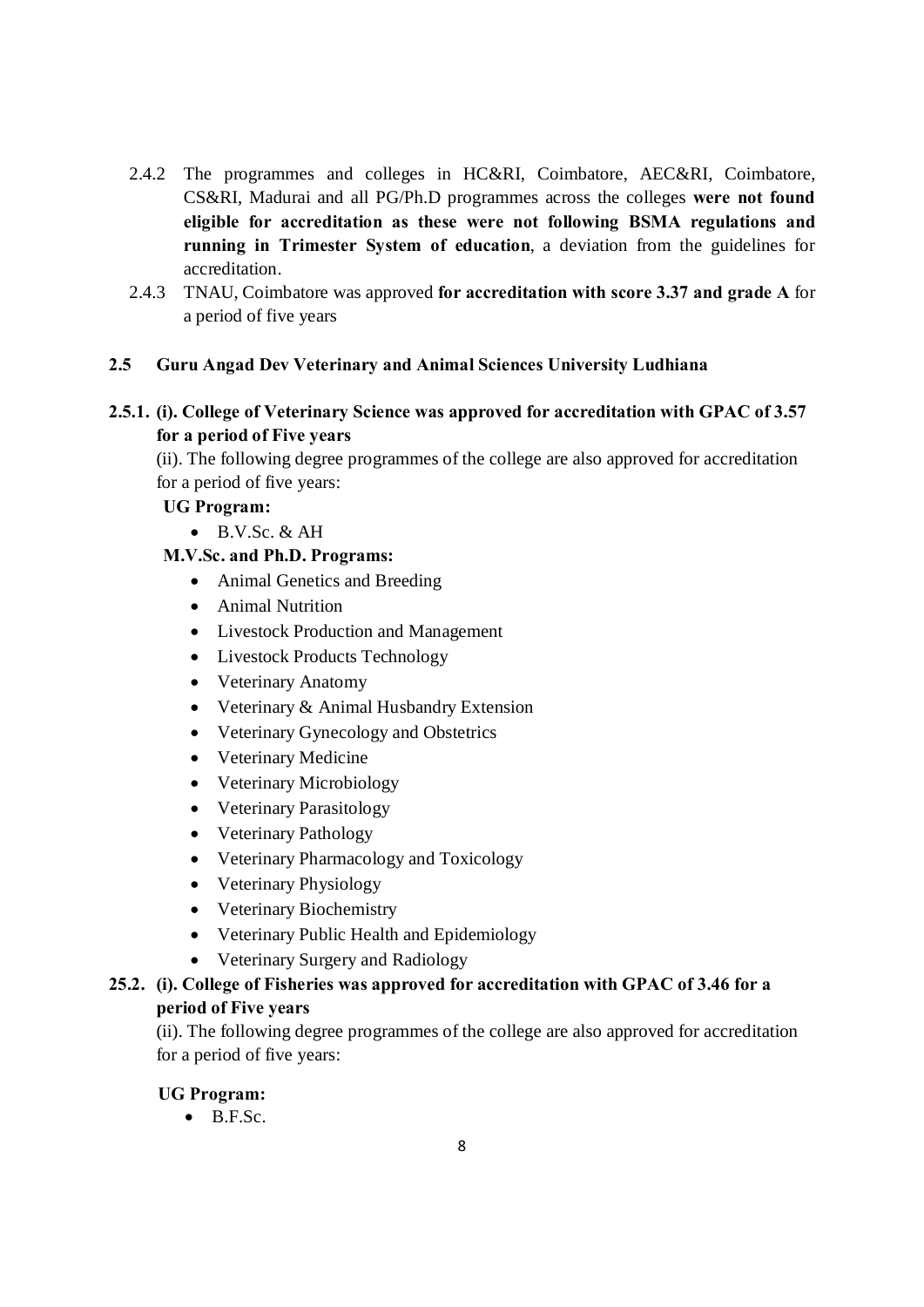- 2.4.2 The programmes and colleges in HC&RI, Coimbatore, AEC&RI, Coimbatore, CS&RI, Madurai and all PG/Ph.D programmes across the colleges **were not found eligible for accreditation as these were not following BSMA regulations and running in Trimester System of education**, a deviation from the guidelines for accreditation.
- 2.4.3 TNAU, Coimbatore was approved **for accreditation with score 3.37 and grade A** for a period of five years

## **2.5 Guru Angad Dev Veterinary and Animal Sciences University Ludhiana**

## **2.5.1. (i). College of Veterinary Science was approved for accreditation with GPAC of 3.57 for a period of Five years**

(ii). The following degree programmes of the college are also approved for accreditation for a period of five years:

## **UG Program:**

 $\bullet$  B.V.Sc. & AH

### **M.V.Sc. and Ph.D. Programs:**

- Animal Genetics and Breeding
- · Animal Nutrition
- · Livestock Production and Management
- Livestock Products Technology
- Veterinary Anatomy
- Veterinary & Animal Husbandry Extension
- Veterinary Gynecology and Obstetrics
- · Veterinary Medicine
- Veterinary Microbiology
- · Veterinary Parasitology
- Veterinary Pathology
- · Veterinary Pharmacology and Toxicology
- Veterinary Physiology
- Veterinary Biochemistry
- · Veterinary Public Health and Epidemiology
- · Veterinary Surgery and Radiology

# **25.2. (i). College of Fisheries was approved for accreditation with GPAC of 3.46 for a period of Five years**

(ii). The following degree programmes of the college are also approved for accreditation for a period of five years:

### **UG Program:**

 $\bullet$  B.F.Sc.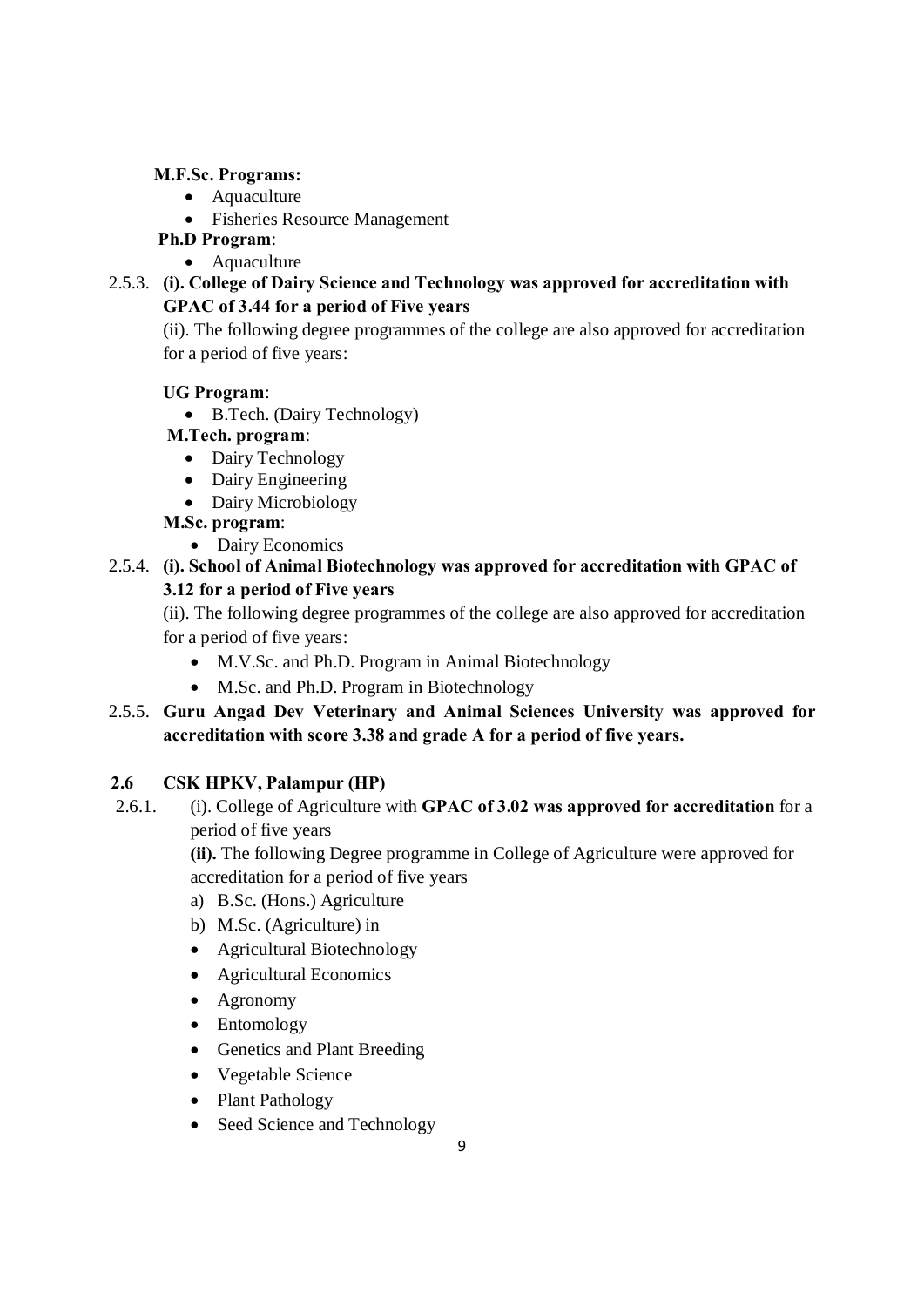### **M.F.Sc. Programs:**

- Aquaculture
- · Fisheries Resource Management
- **Ph.D Program**:
	- Aquaculture
- 2.5.3. **(i). College of Dairy Science and Technology was approved for accreditation with GPAC of 3.44 for a period of Five years**

(ii). The following degree programmes of the college are also approved for accreditation for a period of five years:

## **UG Program**:

· B.Tech. (Dairy Technology)

## **M.Tech. program**:

- Dairy Technology
- Dairy Engineering
- Dairy Microbiology

## **M.Sc. program**:

• Dairy Economics

# 2.5.4. **(i). School of Animal Biotechnology was approved for accreditation with GPAC of 3.12 for a period of Five years**

(ii). The following degree programmes of the college are also approved for accreditation for a period of five years:

- · M.V.Sc. and Ph.D. Program in Animal Biotechnology
- M.Sc. and Ph.D. Program in Biotechnology
- 2.5.5. **Guru Angad Dev Veterinary and Animal Sciences University was approved for accreditation with score 3.38 and grade A for a period of five years.**

## **2.6 CSK HPKV, Palampur (HP)**

2.6.1. (i). College of Agriculture with **GPAC of 3.02 was approved for accreditation** for a period of five years

> **(ii).** The following Degree programme in College of Agriculture were approved for accreditation for a period of five years

- a) B.Sc. (Hons.) Agriculture
- b) M.Sc. (Agriculture) in
- · Agricultural Biotechnology
- Agricultural Economics
- Agronomy
- Entomology
- Genetics and Plant Breeding
- · Vegetable Science
- Plant Pathology
- Seed Science and Technology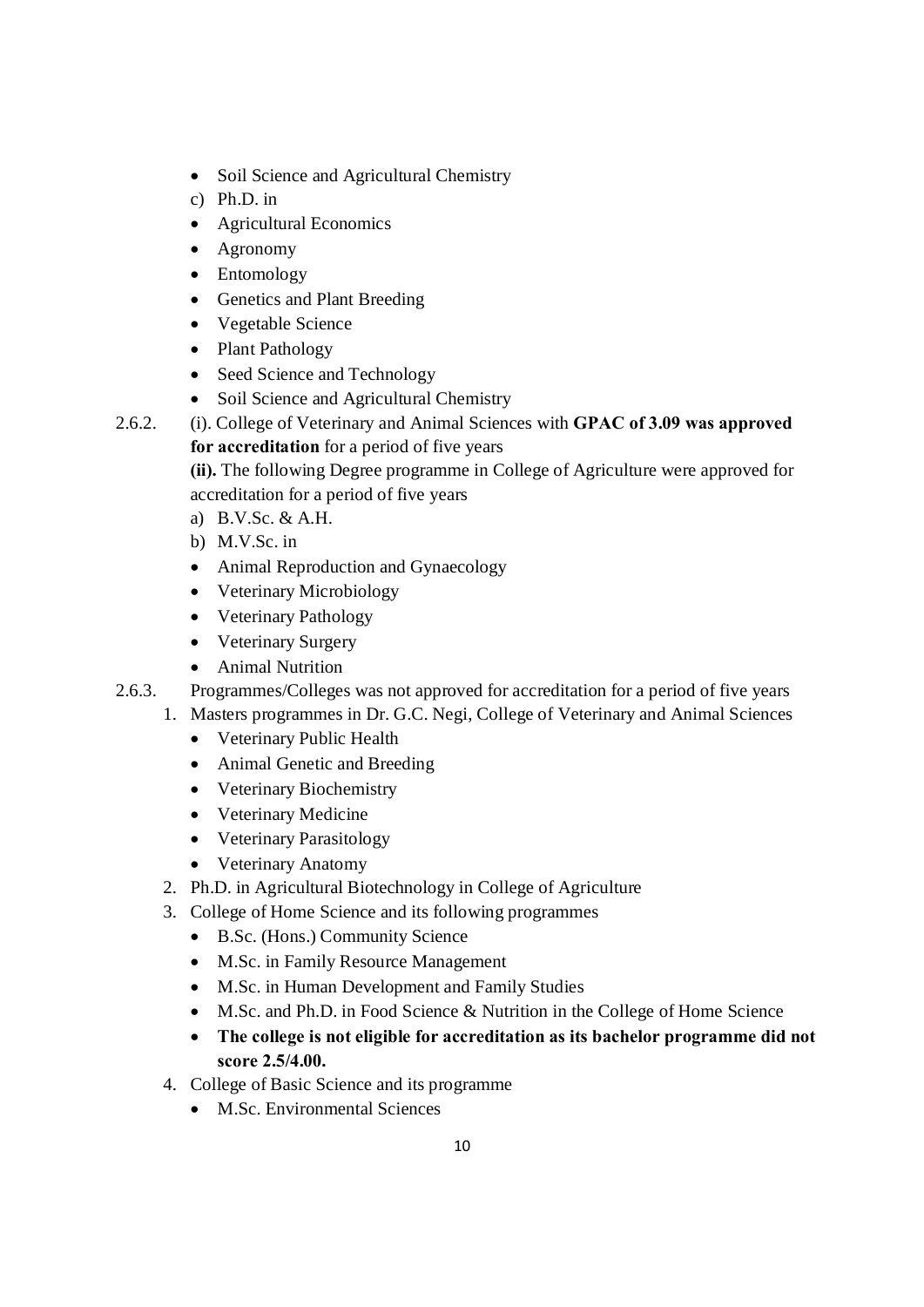- Soil Science and Agricultural Chemistry
- c) Ph.D. in
- Agricultural Economics
- Agronomy
- Entomology
- · Genetics and Plant Breeding
- · Vegetable Science
- Plant Pathology
- Seed Science and Technology
- Soil Science and Agricultural Chemistry
- 2.6.2. (i). College of Veterinary and Animal Sciences with **GPAC of 3.09 was approved for accreditation** for a period of five years

**(ii).** The following Degree programme in College of Agriculture were approved for accreditation for a period of five years

- a) B.V.Sc. & A.H.
- b) M.V.Sc. in
- Animal Reproduction and Gynaecology
- Veterinary Microbiology
- Veterinary Pathology
- Veterinary Surgery
- Animal Nutrition
- 2.6.3. Programmes/Colleges was not approved for accreditation for a period of five years
	- 1. Masters programmes in Dr. G.C. Negi, College of Veterinary and Animal Sciences
		- · Veterinary Public Health
		- Animal Genetic and Breeding
		- · Veterinary Biochemistry
		- · Veterinary Medicine
		- Veterinary Parasitology
		- Veterinary Anatomy
	- 2. Ph.D. in Agricultural Biotechnology in College of Agriculture
	- 3. College of Home Science and its following programmes
		- · B.Sc. (Hons.) Community Science
		- · M.Sc. in Family Resource Management
		- · M.Sc. in Human Development and Family Studies
		- · M.Sc. and Ph.D. in Food Science & Nutrition in the College of Home Science
		- · **The college is not eligible for accreditation as its bachelor programme did not score 2.5/4.00.**
	- 4. College of Basic Science and its programme
		- M.Sc. Environmental Sciences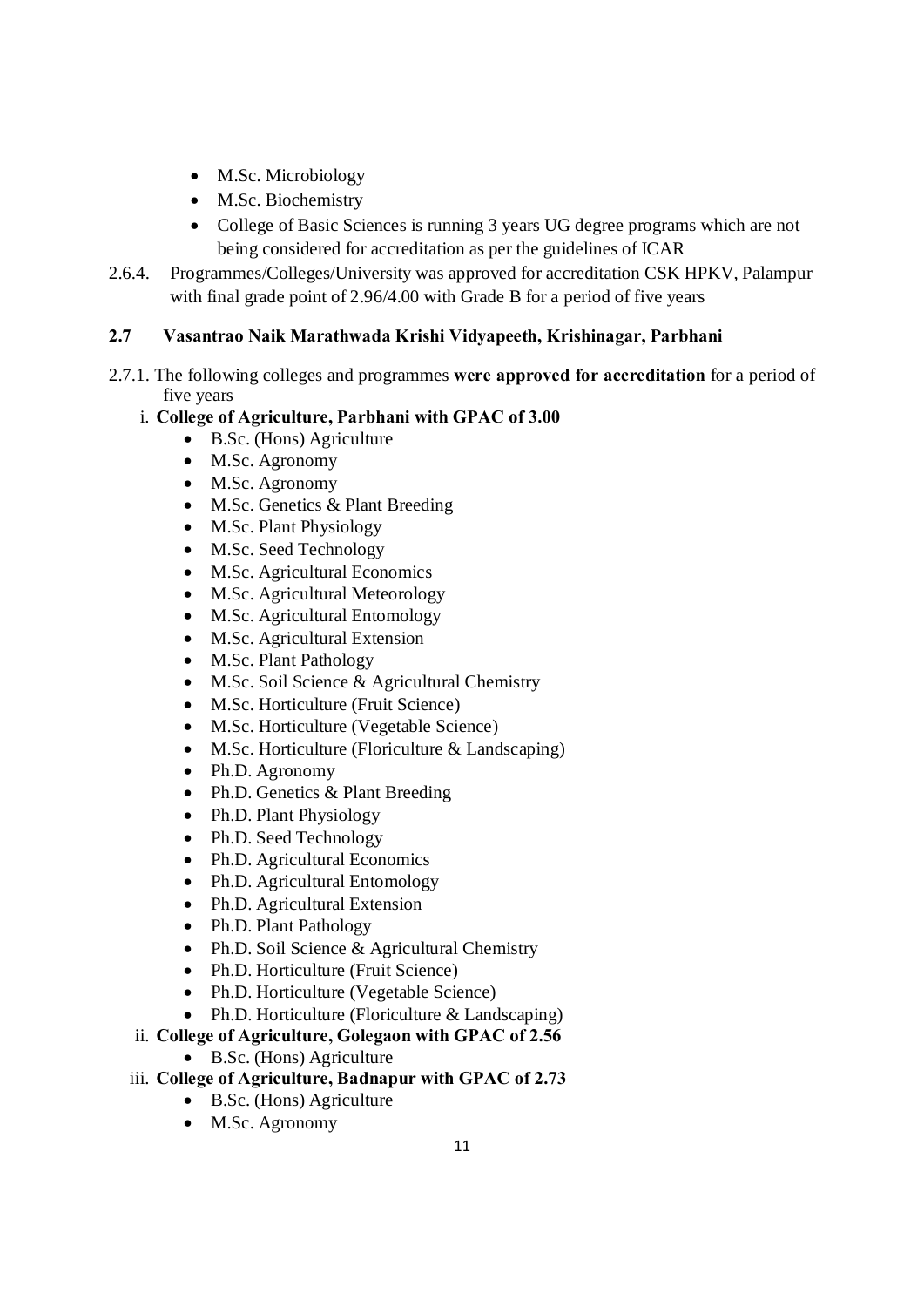- M.Sc. Microbiology
- M.Sc. Biochemistry
- College of Basic Sciences is running 3 years UG degree programs which are not being considered for accreditation as per the guidelines of ICAR
- 2.6.4. Programmes/Colleges/University was approved for accreditation CSK HPKV, Palampur with final grade point of 2.96/4.00 with Grade B for a period of five years

## **2.7 Vasantrao Naik Marathwada Krishi Vidyapeeth, Krishinagar, Parbhani**

2.7.1. The following colleges and programmes **were approved for accreditation** for a period of five years

## i. **College of Agriculture, Parbhani with GPAC of 3.00**

- · B.Sc. (Hons) Agriculture
- M.Sc. Agronomy
- M.Sc. Agronomy
- M.Sc. Genetics & Plant Breeding
- M.Sc. Plant Physiology
- · M.Sc. Seed Technology
- M.Sc. Agricultural Economics
- M.Sc. Agricultural Meteorology
- M.Sc. Agricultural Entomology
- M.Sc. Agricultural Extension
- · M.Sc. Plant Pathology
- · M.Sc. Soil Science & Agricultural Chemistry
- M.Sc. Horticulture (Fruit Science)
- M.Sc. Horticulture (Vegetable Science)
- M.Sc. Horticulture (Floriculture & Landscaping)
- Ph.D. Agronomy
- Ph.D. Genetics & Plant Breeding
- Ph.D. Plant Physiology
- Ph.D. Seed Technology
- Ph.D. Agricultural Economics
- Ph.D. Agricultural Entomology
- Ph.D. Agricultural Extension
- Ph.D. Plant Pathology
- Ph.D. Soil Science & Agricultural Chemistry
- Ph.D. Horticulture (Fruit Science)
- Ph.D. Horticulture (Vegetable Science)
- Ph.D. Horticulture (Floriculture & Landscaping)

### ii. **College of Agriculture, Golegaon with GPAC of 2.56**

### · B.Sc. (Hons) Agriculture

- iii. **College of Agriculture, Badnapur with GPAC of 2.73**
	- · B.Sc. (Hons) Agriculture
	- M.Sc. Agronomy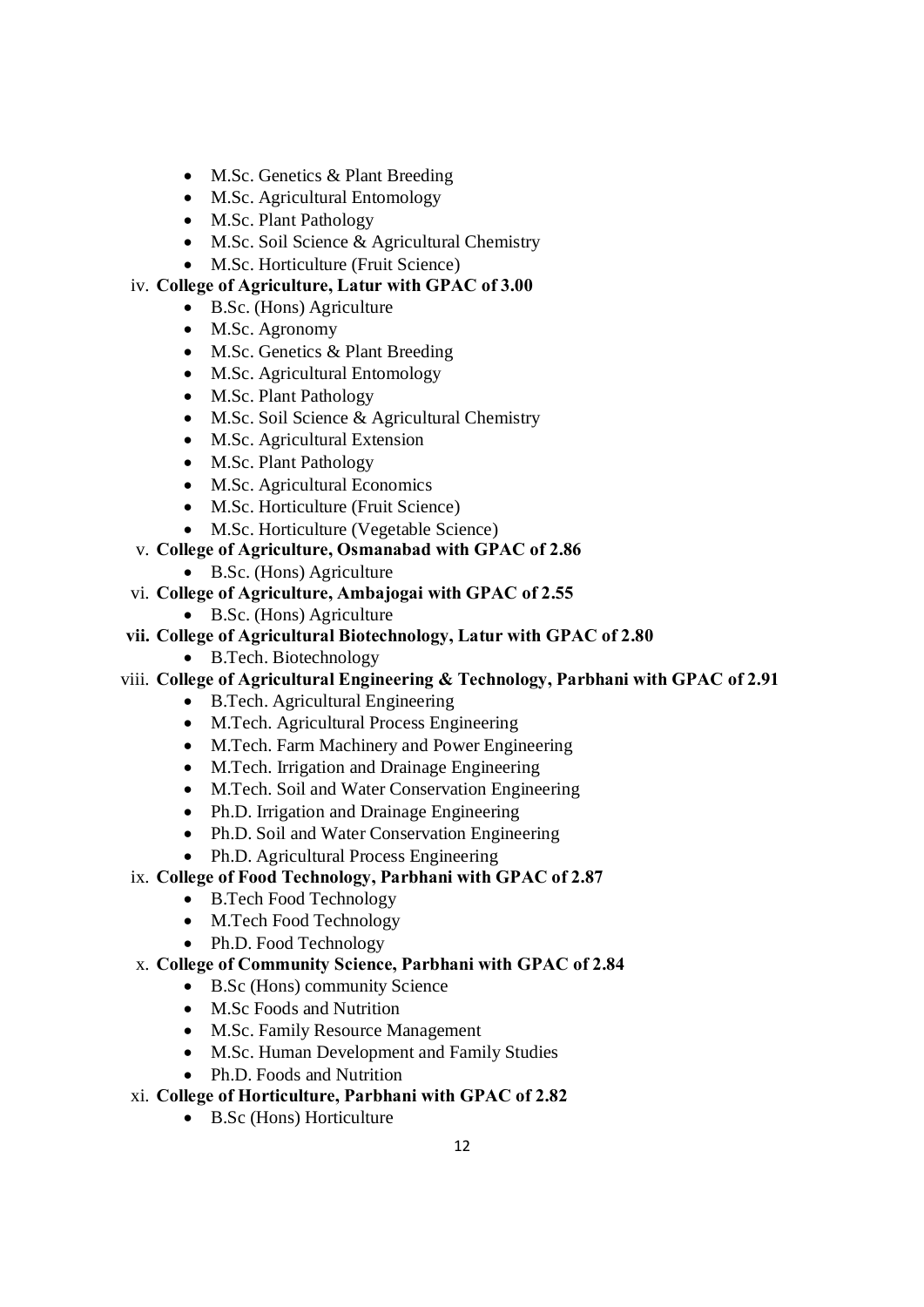- M.Sc. Genetics & Plant Breeding
- M.Sc. Agricultural Entomology
- M.Sc. Plant Pathology
- · M.Sc. Soil Science & Agricultural Chemistry
- M.Sc. Horticulture (Fruit Science)

## iv. **College of Agriculture, Latur with GPAC of 3.00**

- B.Sc. (Hons) Agriculture
- M.Sc. Agronomy
- M.Sc. Genetics & Plant Breeding
- M.Sc. Agricultural Entomology
- M.Sc. Plant Pathology
- · M.Sc. Soil Science & Agricultural Chemistry
- M.Sc. Agricultural Extension
- M.Sc. Plant Pathology
- M.Sc. Agricultural Economics
- M.Sc. Horticulture (Fruit Science)
- · M.Sc. Horticulture (Vegetable Science)
- v. **College of Agriculture, Osmanabad with GPAC of 2.86**
	- · B.Sc. (Hons) Agriculture
- vi. **College of Agriculture, Ambajogai with GPAC of 2.55**
	- · B.Sc. (Hons) Agriculture
- **vii. College of Agricultural Biotechnology, Latur with GPAC of 2.80**
	- B.Tech. Biotechnology
- viii. **College of Agricultural Engineering & Technology, Parbhani with GPAC of 2.91**
	- · B.Tech. Agricultural Engineering
	- · M.Tech. Agricultural Process Engineering
	- · M.Tech. Farm Machinery and Power Engineering
	- · M.Tech. Irrigation and Drainage Engineering
	- · M.Tech. Soil and Water Conservation Engineering
	- Ph.D. Irrigation and Drainage Engineering
	- Ph.D. Soil and Water Conservation Engineering
	- Ph.D. Agricultural Process Engineering
- ix. **College of Food Technology, Parbhani with GPAC of 2.87**
	- · B.Tech Food Technology
	- M.Tech Food Technology
	- Ph.D. Food Technology

### x. **College of Community Science, Parbhani with GPAC of 2.84**

- · B.Sc (Hons) community Science
- M.Sc Foods and Nutrition
- · M.Sc. Family Resource Management
- · M.Sc. Human Development and Family Studies
- Ph.D. Foods and Nutrition

## xi. **College of Horticulture, Parbhani with GPAC of 2.82**

· B.Sc (Hons) Horticulture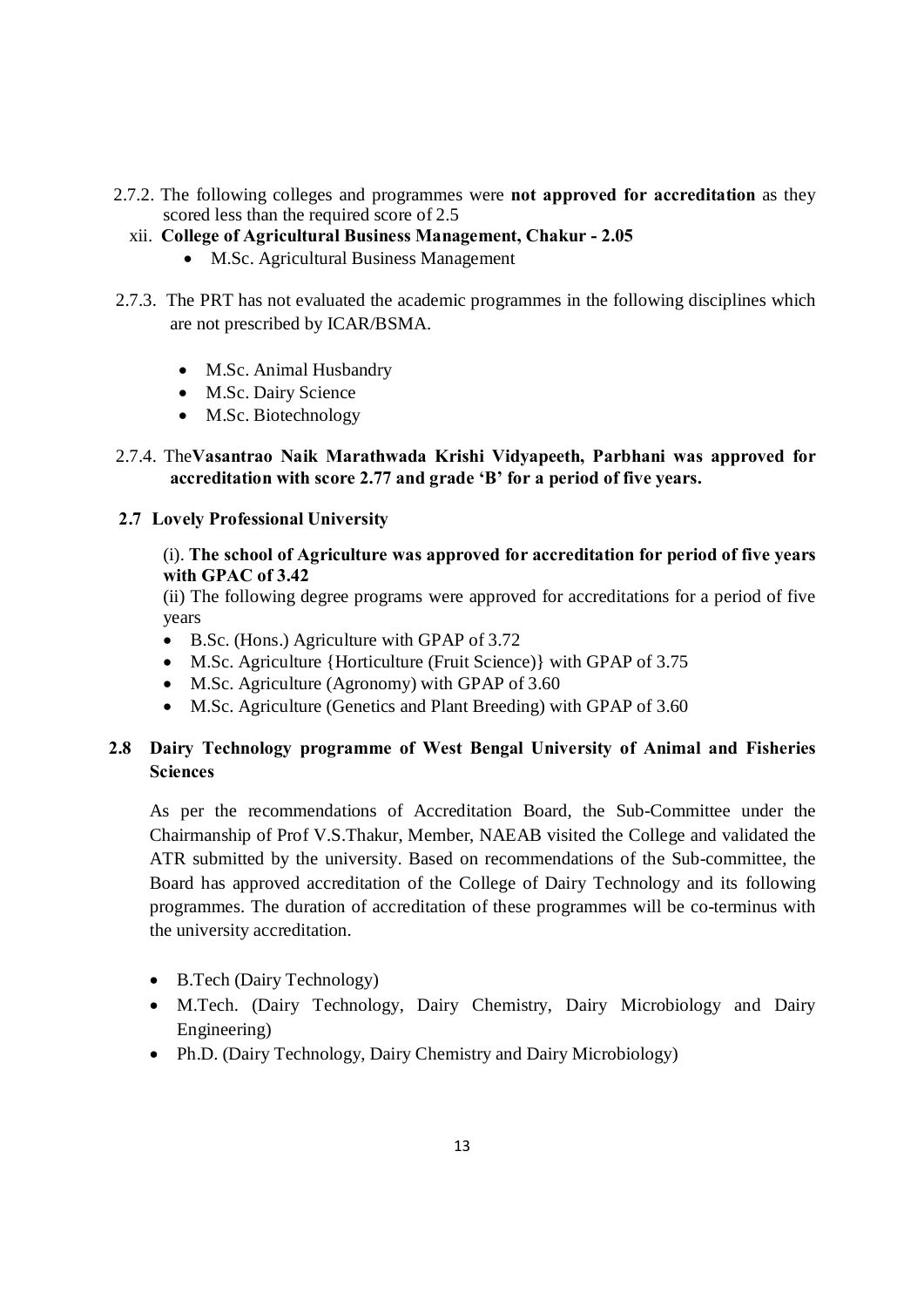- 2.7.2. The following colleges and programmes were **not approved for accreditation** as they scored less than the required score of 2.5
	- xii. **College of Agricultural Business Management, Chakur - 2.05**
		- · M.Sc. Agricultural Business Management
- 2.7.3. The PRT has not evaluated the academic programmes in the following disciplines which are not prescribed by ICAR/BSMA.
	- M.Sc. Animal Husbandry
	- · M.Sc. Dairy Science
	- M.Sc. Biotechnology

## 2.7.4. The**Vasantrao Naik Marathwada Krishi Vidyapeeth, Parbhani was approved for accreditation with score 2.77 and grade 'B' for a period of five years.**

### **2.7 Lovely Professional University**

### (i). **The school of Agriculture was approved for accreditation for period of five years with GPAC of 3.42**

(ii) The following degree programs were approved for accreditations for a period of five years

- B.Sc. (Hons.) Agriculture with GPAP of 3.72
- M.Sc. Agriculture {Horticulture (Fruit Science)} with GPAP of 3.75
- M.Sc. Agriculture (Agronomy) with GPAP of 3.60
- · M.Sc. Agriculture (Genetics and Plant Breeding) with GPAP of 3.60

## **2.8 Dairy Technology programme of West Bengal University of Animal and Fisheries Sciences**

As per the recommendations of Accreditation Board, the Sub-Committee under the Chairmanship of Prof V.S.Thakur, Member, NAEAB visited the College and validated the ATR submitted by the university. Based on recommendations of the Sub-committee, the Board has approved accreditation of the College of Dairy Technology and its following programmes. The duration of accreditation of these programmes will be co-terminus with the university accreditation.

- · B.Tech (Dairy Technology)
- · M.Tech. (Dairy Technology, Dairy Chemistry, Dairy Microbiology and Dairy Engineering)
- Ph.D. (Dairy Technology, Dairy Chemistry and Dairy Microbiology)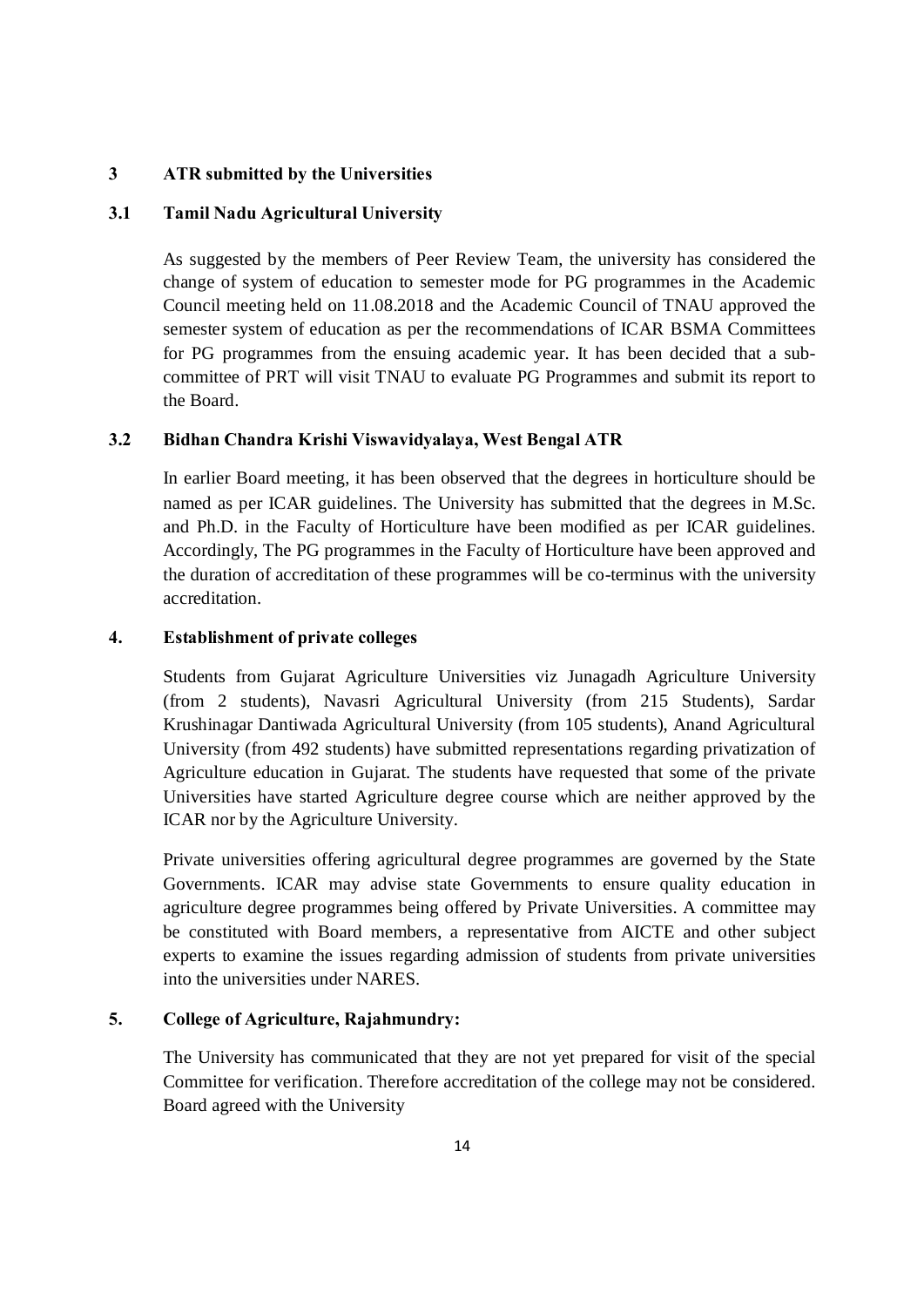#### **3 ATR submitted by the Universities**

#### **3.1 Tamil Nadu Agricultural University**

As suggested by the members of Peer Review Team, the university has considered the change of system of education to semester mode for PG programmes in the Academic Council meeting held on 11.08.2018 and the Academic Council of TNAU approved the semester system of education as per the recommendations of ICAR BSMA Committees for PG programmes from the ensuing academic year. It has been decided that a subcommittee of PRT will visit TNAU to evaluate PG Programmes and submit its report to the Board.

#### **3.2 Bidhan Chandra Krishi Viswavidyalaya, West Bengal ATR**

In earlier Board meeting, it has been observed that the degrees in horticulture should be named as per ICAR guidelines. The University has submitted that the degrees in M.Sc. and Ph.D. in the Faculty of Horticulture have been modified as per ICAR guidelines. Accordingly, The PG programmes in the Faculty of Horticulture have been approved and the duration of accreditation of these programmes will be co-terminus with the university accreditation.

#### **4. Establishment of private colleges**

Students from Gujarat Agriculture Universities viz Junagadh Agriculture University (from 2 students), Navasri Agricultural University (from 215 Students), Sardar Krushinagar Dantiwada Agricultural University (from 105 students), Anand Agricultural University (from 492 students) have submitted representations regarding privatization of Agriculture education in Gujarat. The students have requested that some of the private Universities have started Agriculture degree course which are neither approved by the ICAR nor by the Agriculture University.

Private universities offering agricultural degree programmes are governed by the State Governments. ICAR may advise state Governments to ensure quality education in agriculture degree programmes being offered by Private Universities. A committee may be constituted with Board members, a representative from AICTE and other subject experts to examine the issues regarding admission of students from private universities into the universities under NARES.

#### **5. College of Agriculture, Rajahmundry:**

The University has communicated that they are not yet prepared for visit of the special Committee for verification. Therefore accreditation of the college may not be considered. Board agreed with the University